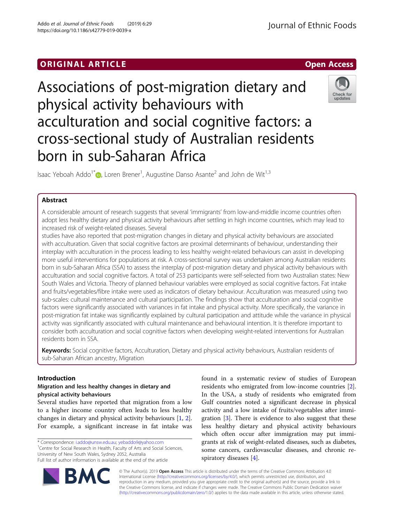## ORIGINAL ARTICLE AND INTERNATIONAL ARTICLE AND INTERNATIONAL ARTICLE AND INTERNATIONAL ARTICLE AND INTERNATION

# Associations of post-migration dietary and physical activity behaviours with acculturation and social cognitive factors: a cross-sectional study of Australian residents born in sub-Saharan Africa

Isaac Yeboah Addo<sup>1[\\*](http://orcid.org/0000-0001-8603-8306)</sup> , Loren Brener<sup>1</sup>, Augustine Danso Asante<sup>2</sup> and John de Wit<sup>1,3</sup>

## Abstract

A considerable amount of research suggests that several 'immigrants' from low-and-middle income countries often adopt less healthy dietary and physical activity behaviours after settling in high income countries, which may lead to increased risk of weight-related diseases. Several

studies have also reported that post-migration changes in dietary and physical activity behaviours are associated with acculturation. Given that social cognitive factors are proximal determinants of behaviour, understanding their interplay with acculturation in the process leading to less healthy weight-related behaviours can assist in developing more useful interventions for populations at risk. A cross-sectional survey was undertaken among Australian residents born in sub-Saharan Africa (SSA) to assess the interplay of post-migration dietary and physical activity behaviours with acculturation and social cognitive factors. A total of 253 participants were self-selected from two Australian states: New South Wales and Victoria. Theory of planned behaviour variables were employed as social cognitive factors. Fat intake and fruits/vegetables/fibre intake were used as indicators of dietary behaviour. Acculturation was measured using two sub-scales: cultural maintenance and cultural participation. The findings show that acculturation and social cognitive factors were significantly associated with variances in fat intake and physical activity. More specifically, the variance in post-migration fat intake was significantly explained by cultural participation and attitude while the variance in physical activity was significantly associated with cultural maintenance and behavioural intention. It is therefore important to consider both acculturation and social cognitive factors when developing weight-related interventions for Australian residents born in SSA.

Keywords: Social cognitive factors, Acculturation, Dietary and physical activity behaviours, Australian residents of sub-Saharan African ancestry, Migration

## Introduction

## Migration and less healthy changes in dietary and physical activity behaviours

Several studies have reported that migration from a low to a higher income country often leads to less healthy changes in dietary and physical activity behaviours [\[1](#page-7-0), [2](#page-7-0)]. For example, a significant increase in fat intake was

\* Correspondence: [i.addo@unsw.edu.au;](mailto:i.addo@unsw.edu.au) [yebaddo9@yahoo.com](mailto:yebaddo9@yahoo.com) <sup>1</sup>

<sup>1</sup> Centre for Social Research in Health, Faculty of Arts and Social Sciences, University of New South Wales, Sydney 2052, Australia Full list of author information is available at the end of the article

gration [[3\]](#page-7-0). There is evidence to also suggest that these less healthy dietary and physical activity behaviours which often occur after immigration may put immigrants at risk of weight-related diseases, such as diabetes, some cancers, cardiovascular diseases, and chronic respiratory diseases [\[4\]](#page-7-0). © The Author(s). 2019 Open Access This article is distributed under the terms of the Creative Commons Attribution 4.0

found in a systematic review of studies of European residents who emigrated from low-income countries [\[2](#page-7-0)]. In the USA, a study of residents who emigrated from Gulf countries noted a significant decrease in physical activity and a low intake of fruits/vegetables after immi-

International License [\(http://creativecommons.org/licenses/by/4.0/](http://creativecommons.org/licenses/by/4.0/)), which permits unrestricted use, distribution, and reproduction in any medium, provided you give appropriate credit to the original author(s) and the source, provide a link to the Creative Commons license, and indicate if changes were made. The Creative Commons Public Domain Dedication waiver [\(http://creativecommons.org/publicdomain/zero/1.0/](http://creativecommons.org/publicdomain/zero/1.0/)) applies to the data made available in this article, unless otherwise stated.



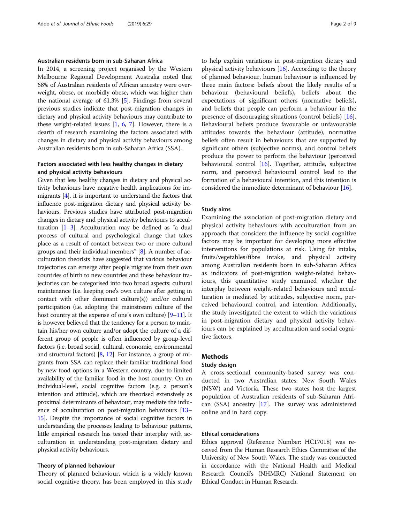## Australian residents born in sub-Saharan Africa

In 2014, a screening project organised by the Western Melbourne Regional Development Australia noted that 68% of Australian residents of African ancestry were overweight, obese, or morbidly obese, which was higher than the national average of 61.3% [\[5\]](#page-7-0). Findings from several previous studies indicate that post-migration changes in dietary and physical activity behaviours may contribute to these weight-related issues  $[1, 6, 7]$  $[1, 6, 7]$  $[1, 6, 7]$  $[1, 6, 7]$  $[1, 6, 7]$ . However, there is a dearth of research examining the factors associated with changes in dietary and physical activity behaviours among Australian residents born in sub-Saharan Africa (SSA).

## Factors associated with less healthy changes in dietary and physical activity behaviours

Given that less healthy changes in dietary and physical activity behaviours have negative health implications for immigrants [\[4](#page-7-0)], it is important to understand the factors that influence post-migration dietary and physical activity behaviours. Previous studies have attributed post-migration changes in dietary and physical activity behaviours to acculturation [\[1](#page-7-0)–[3](#page-7-0)]. Acculturation may be defined as "a dual process of cultural and psychological change that takes place as a result of contact between two or more cultural groups and their individual members" [\[8\]](#page-7-0). A number of acculturation theorists have suggested that various behaviour trajectories can emerge after people migrate from their own countries of birth to new countries and these behaviour trajectories can be categorised into two broad aspects: cultural maintenance (i.e. keeping one's own culture after getting in contact with other dominant culture(s)) and/or cultural participation (i.e. adopting the mainstream culture of the host country at the expense of one's own culture) [[9](#page-7-0)–[11\]](#page-8-0). It is however believed that the tendency for a person to maintain his/her own culture and/or adopt the culture of a different group of people is often influenced by group-level factors (i.e. broad social, cultural, economic, environmental and structural factors) [[8](#page-7-0), [12\]](#page-8-0). For instance, a group of migrants from SSA can replace their familiar traditional food by new food options in a Western country, due to limited availability of the familiar food in the host country. On an individual-level, social cognitive factors (e.g. a person's intention and attitude), which are theorised extensively as proximal determinants of behaviour, may mediate the influence of acculturation on post-migration behaviours [\[13](#page-8-0)– [15](#page-8-0)]. Despite the importance of social cognitive factors in understanding the processes leading to behaviour patterns, little empirical research has tested their interplay with acculturation in understanding post-migration dietary and physical activity behaviours.

## Theory of planned behaviour

Theory of planned behaviour, which is a widely known social cognitive theory, has been employed in this study

to help explain variations in post-migration dietary and physical activity behaviours  $[16]$  $[16]$ . According to the theory of planned behaviour, human behaviour is influenced by three main factors: beliefs about the likely results of a behaviour (behavioural beliefs), beliefs about the expectations of significant others (normative beliefs), and beliefs that people can perform a behaviour in the presence of discouraging situations (control beliefs) [\[16](#page-8-0)]. Behavioural beliefs produce favourable or unfavourable attitudes towards the behaviour (attitude), normative beliefs often result in behaviours that are supported by significant others (subjective norms), and control beliefs produce the power to perform the behaviour (perceived behavioural control [[16\]](#page-8-0). Together, attitude, subjective norm, and perceived behavioural control lead to the formation of a behavioural intention, and this intention is considered the immediate determinant of behaviour [\[16\]](#page-8-0).

## Study aims

Examining the association of post-migration dietary and physical activity behaviours with acculturation from an approach that considers the influence by social cognitive factors may be important for developing more effective interventions for populations at risk. Using fat intake, fruits/vegetables/fibre intake, and physical activity among Australian residents born in sub-Saharan Africa as indicators of post-migration weight-related behaviours, this quantitative study examined whether the interplay between weight-related behaviours and acculturation is mediated by attitudes, subjective norm, perceived behavioural control, and intention. Additionally, the study investigated the extent to which the variations in post-migration dietary and physical activity behaviours can be explained by acculturation and social cognitive factors.

## Methods

#### Study design

A cross-sectional community-based survey was conducted in two Australian states: New South Wales (NSW) and Victoria. These two states host the largest population of Australian residents of sub-Saharan African (SSA) ancestry [[17](#page-8-0)]. The survey was administered online and in hard copy.

## Ethical considerations

Ethics approval (Reference Number: HC17018) was received from the Human Research Ethics Committee of the University of New South Wales. The study was conducted in accordance with the National Health and Medical Research Council's (NHMRC) National Statement on Ethical Conduct in Human Research.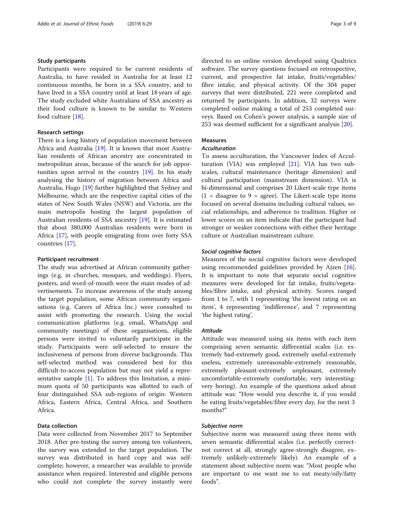## Study participants

Participants were required to be current residents of Australia, to have resided in Australia for at least 12 continuous months, be born in a SSA country, and to have lived in a SSA country until at least 18 years of age. The study excluded white Australians of SSA ancestry as their food culture is known to be similar to Western food culture [[18\]](#page-8-0).

## Research settings

There is a long history of population movement between Africa and Australia [[19\]](#page-8-0). It is known that most Australian residents of African ancestry are concentrated in metropolitan areas, because of the search for job opportunities upon arrival in the country [[19](#page-8-0)]. In his study analysing the history of migration between Africa and Australia, Hugo [[19\]](#page-8-0) further highlighted that Sydney and Melbourne, which are the respective capital cities of the states of New South Wales (NSW) and Victoria, are the main metropolis hosting the largest population of Australian residents of SSA ancestry [[19](#page-8-0)]. It is estimated that about 380,000 Australian residents were born in Africa [\[17](#page-8-0)], with people emigrating from over forty SSA countries [[17](#page-8-0)].

#### Participant recruitment

The study was advertised at African community gatherings (e.g. in churches, mosques, and weddings). Flyers, posters, and word-of-mouth were the main modes of advertisements. To increase awareness of the study among the target population, some African community organisations (e.g. Carers of Africa Inc.) were consulted to assist with promoting the research. Using the social communication platforms (e.g. email, WhatsApp and community meetings) of these organisations, eligible persons were invited to voluntarily participate in the study. Participants were self-selected to ensure the inclusiveness of persons from diverse backgrounds. This self-selected method was considered best for this difficult-to-access population but may not yield a representative sample [[1\]](#page-7-0). To address this limitation, a minimum quota of 50 participants was allotted to each of four distinguished SSA sub-regions of origin: Western Africa, Eastern Africa, Central Africa, and Southern Africa.

## Data collection

Data were collected from November 2017 to September 2018. After pre-testing the survey among ten volunteers, the survey was extended to the target population. The survey was distributed in hard copy and was selfcomplete; however, a researcher was available to provide assistance when required. Interested and eligible persons who could not complete the survey instantly were directed to an online version developed using Qualtrics software. The survey questions focused on retrospective, current, and prospective fat intake, fruits/vegetables/ fibre intake, and physical activity. Of the 304 paper surveys that were distributed, 221 were completed and returned by participants. In addition, 32 surveys were completed online making a total of 253 completed surveys. Based on Cohen's power analysis, a sample size of 253 was deemed sufficient for a significant analysis [\[20](#page-8-0)].

## Measures

## Acculturation

To assess acculturation, the Vancouver Index of Acculturation (VIA) was employed  $[21]$  $[21]$ . VIA has two subscales, cultural maintenance (heritage dimension) and cultural participation (mainstream dimension). VIA is bi-dimensional and comprises 20 Likert-scale type items  $(1 = \text{disagree to } 9 = \text{agree})$ . The Likert-scale type items focused on several domains including cultural values, social relationships, and adherence to tradition. Higher or lower scores on an item indicate that the participant had stronger or weaker connections with either their heritage culture or Australian mainstream culture.

## Social cognitive factors

Measures of the social cognitive factors were developed using recommended guidelines provided by Ajzen [\[16](#page-8-0)]. It is important to note that separate social cognitive measures were developed for fat intake, fruits/vegetables/fibre intake, and physical activity. Scores ranged from 1 to 7, with 1 representing 'the lowest rating on an item', 4 representing 'indifference', and 7 representing 'the highest rating'.

## Attitude

Attitude was measured using six items with each item comprising seven semantic differential scales (i.e. extremely bad-extremely good, extremely useful-extremely useless, extremely unreasonable-extremely reasonable, extremely pleasant-extremely unpleasant, extremely uncomfortable-extremely comfortable, very interestingvery boring). An example of the questions asked about attitude was: "How would you describe it, if you would be eating fruits/vegetables/fibre every day, for the next 3 months?"

## Subjective norm

Subjective norm was measured using three items with seven semantic differential scales (i.e. perfectly correctnot correct at all, strongly agree-strongly disagree, extremely unlikely-extremely likely). An example of a statement about subjective norm was: "Most people who are important to me want me to eat meaty/oily/fatty foods".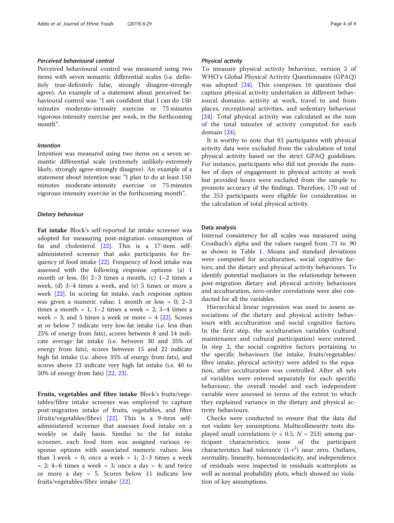## Perceived behavioural control

Perceived behavioural control was measured using two items with seven semantic differential scales (i.e. definitely true-definitely false, strongly disagree-strongly agree). An example of a statement about perceived behavioural control was: "I am confident that I can do 150 minutes moderate-intensity exercise or 75 minutes vigorous-intensity exercise per week, in the forthcoming month".

## Intention

Intention was measured using two items on a seven semantic differential scale (extremely unlikely-extremely likely, strongly agree-strongly disagree). An example of a statement about intention was: "I plan to do at least 150 minutes moderate-intensity exercise or 75 minutes vigorous-intensity exercise in the forthcoming month".

## Dietary behaviour

Fat intake Block's self-reported fat intake screener was adopted for measuring post-migration consumption of fat and cholesterol [\[22](#page-8-0)]. This is a 17-item selfadministered screener that asks participants for frequency of food intake [\[22\]](#page-8-0). Frequency of food intake was assessed with the following response options: (a) 1 month or less, (b) 2–3 times a month, (c) 1–2 times a week, (d) 3–4 times a week, and (e) 5 times or more a week [\[22](#page-8-0)]. In scoring fat intake, each response option was given a numeric value; 1 month or less = 0; 2–3 times a month = 1;  $1-2$  times a week = 2;  $3-4$  times a week = 3; and 5 times a week or more =  $4$  [\[22](#page-8-0)]. Scores at or below 7 indicate very low-fat intake (i.e. less than 25% of energy from fats), scores between 8 and 14 indicate average fat intake (i.e. between 30 and 35% of energy from fats), scores between 15 and 22 indicate high fat intake (i.e. above 35% of energy from fats), and scores above 23 indicate very high fat intake (i.e. 40 to 50% of energy from fats) [\[22](#page-8-0), [23](#page-8-0)].

Fruits, vegetables and fibre intake Block's fruits/vegetables/fibre intake screener was employed to capture post-migration intake of fruits, vegetables, and fibre (fruits/vegetables/fibre) [\[22](#page-8-0)]. This is a 9-item selfadministered screener that assesses food intake on a weekly or daily basis. Similar to the fat intake screener, each food item was assigned various response options with associated numeric values: less than  $1$  week = 0; once a week = 1;  $2-3$  times a week  $= 2$ ; 4–6 times a week  $= 3$ ; once a day  $= 4$ ; and twice or more a day = 5. Scores below 11 indicate low fruits/vegetables/fibre intake [[22\]](#page-8-0).

#### Physical activity

To measure physical activity behaviour, version 2 of WHO's Global Physical Activity Questionnaire (GPAQ) was adopted [[24](#page-8-0)]. This comprises 16 questions that capture physical activity undertaken in different behavioural domains: activity at work, travel to and from places, recreational activities, and sedentary behaviour [[24\]](#page-8-0). Total physical activity was calculated as the sum of the total minutes of activity computed for each domain [\[24](#page-8-0)].

It is worthy to note that 83 participants with physical activity data were excluded from the calculation of total physical activity based on the strict GPAQ guidelines. For instance, participants who did not provide the number of days of engagement in physical activity at work but provided hours were excluded from the sample to promote accuracy of the findings. Therefore, 170 out of the 253 participants were eligible for consideration in the calculation of total physical activity.

## Data analysis

Internal consistency for all scales was measured using Cronbach's alpha and the values ranged from .71 to .90 as shown in Table [1.](#page-4-0) Means and standard deviations were computed for acculturation, social cognitive factors, and the dietary and physical activity behaviours. To identify potential mediators in the relationship between post-migration dietary and physical activity behaviours and acculturation, zero-order correlations were also conducted for all the variables.

Hierarchical linear regression was used to assess associations of the dietary and physical activity behaviours with acculturation and social cognitive factors. In the first step, the acculturation variables (cultural maintenance and cultural participation) were entered. In step 2, the social cognitive factors pertaining to the specific behaviours (fat intake, fruits/vegetables/ fibre intake, physical activity) were added to the equation, after acculturation was controlled. After all sets of variables were entered separately for each specific behaviour, the overall model and each independent variable were assessed in terms of the extent to which they explained variance in the dietary and physical activity behaviours.

Checks were conducted to ensure that the data did not violate key assumptions. Multicollinearity tests displayed small correlations ( $r < 0.5$ ,  $N = 253$ ) among participant characteristics; none of the participant characteristics had tolerance  $(1-r^2)$  near zero. Outliers, normality, linearity, homoscedasticity, and independence of residuals were inspected in residuals scatterplots as well as normal probability plots, which showed no violation of key assumptions.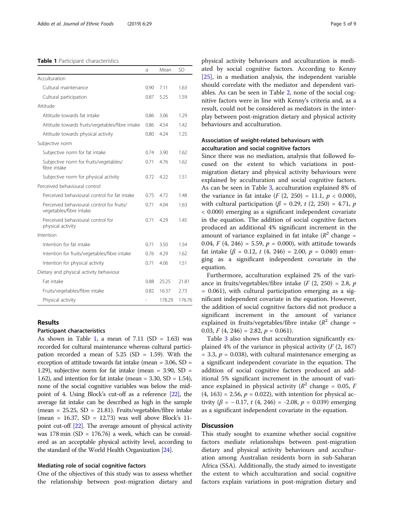#### <span id="page-4-0"></span>Table 1 Participant characteristics

|                                                                      | a    | Mean   | <b>SD</b> |
|----------------------------------------------------------------------|------|--------|-----------|
| Acculturation                                                        |      |        |           |
| Cultural maintenance                                                 | 0.90 | 711    | 1.63      |
| Cultural participation                                               | 0.87 | 5.25   | 1.59      |
| Attitude                                                             |      |        |           |
| Attitude towards fat intake                                          | 0.86 | 3.06   | 1.29      |
| Attitude towards fruits/vegetables/fibre intake                      | 0.86 | 4.54   | 1.42      |
| Attitude towards physical activity                                   | 0.80 | 4.24   | 1.25      |
| Subjective norm                                                      |      |        |           |
| Subjective norm for fat intake                                       | 0.74 | 3.90   | 1.62      |
| Subjective norm for fruits/vegetables/<br>fibre intake               | 0.71 | 4.76   | 1.62      |
| Subjective norm for physical activity                                | 0.72 | 4.22   | 1.51      |
| Perceived behavioural control                                        |      |        |           |
| Perceived behavioural control for fat intake                         | 0.75 | 4.72   | 1.48      |
| Perceived behavioural control for fruits/<br>vegetables/fibre intake | 0.71 | 4.04   | 1.63      |
| Perceived behavioural control for<br>physical activity               | 0.71 | 4.29   | 1.45      |
| Intention                                                            |      |        |           |
| Intention for fat intake                                             | 0.71 | 3.50   | 1.54      |
| Intention for fruits/vegetables/fibre intake                         | 0.76 | 4.29   | 1.62      |
| Intention for physical activity                                      | 0.71 | 4.06   | 1.51      |
| Dietary and physical activity behaviour                              |      |        |           |
| Fat intake                                                           | 0.88 | 25.25  | 21.81     |
| Fruits/vegetables/fibre intake                                       | 0.82 | 16.37  | 2.73      |
| Physical activity                                                    |      | 178.29 | 176.76    |

## Results

## Participant characteristics

As shown in Table 1, a mean of  $7.11$  (SD = 1.63) was recorded for cultural maintenance whereas cultural participation recorded a mean of 5.25 (SD = 1.59). With the exception of attitude towards fat intake (mean = 3.06, SD = 1.29), subjective norm for fat intake (mean = 3.90, SD = 1.62), and intention for fat intake (mean =  $3.30$ , SD =  $1.54$ ), none of the social cognitive variables was below the midpoint of 4. Using Block's cut-off as a reference [\[22\]](#page-8-0), the average fat intake can be described as high in the sample (mean =  $25.25$ , SD =  $21.81$ ). Fruits/vegetables/fibre intake (mean =  $16.37$ , SD =  $12.73$ ) was well above Block's 11point cut-off [\[22\]](#page-8-0). The average amount of physical activity was 178 min  $(SD = 176.76)$  a week, which can be considered as an acceptable physical activity level, according to the standard of the World Health Organization [\[24\]](#page-8-0).

#### Mediating role of social cognitive factors

One of the objectives of this study was to assess whether the relationship between post-migration dietary and

physical activity behaviours and acculturation is mediated by social cognitive factors. According to Kenny [[25\]](#page-8-0), in a mediation analysis, the independent variable should correlate with the mediator and dependent variables. As can be seen in Table [2](#page-5-0), none of the social cognitive factors were in line with Kenny's criteria and, as a result, could not be considered as mediators in the interplay between post-migration dietary and physical activity behaviours and acculturation.

## Association of weight-related behaviours with acculturation and social cognitive factors

Since there was no mediation, analysis that followed focused on the extent to which variations in postmigration dietary and physical activity behaviours were explained by acculturation and social cognitive factors. As can be seen in Table [3,](#page-6-0) acculturation explained 8% of the variance in fat intake  $(F (2, 250) = 11.1, p < 0.000)$ , with cultural participation ( $\beta = 0.29$ , t (2, 250) = 4.71, p < 0.000) emerging as a significant independent covariate in the equation. The addition of social cognitive factors produced an additional 4% significant increment in the amount of variance explained in fat intake  $(R^2 \text{ change} =$ 0.04,  $F$  (4, 246) = 5.59,  $p = 0.000$ ), with attitude towards fat intake ( $\beta$  = 0.12, t (4, 246) = 2.00,  $p$  = 0.040) emerging as a significant independent covariate in the equation.

Furthermore, acculturation explained 2% of the variance in fruits/vegetables/fibre intake ( $F(2, 250) = 2.8$ ,  $p$ = 0.061), with cultural participation emerging as a significant independent covariate in the equation. However, the addition of social cognitive factors did not produce a significant increment in the amount of variance explained in fruits/vegetables/fibre intake  $(R^2 \text{ change} =$ 0.03,  $F(4, 246) = 2.82, p = 0.061$ .

Table [3](#page-6-0) also shows that acculturation significantly explained 4% of the variance in physical activity  $(F(2, 167))$  $= 3.3, p = 0.038$ , with cultural maintenance emerging as a significant independent covariate in the equation. The addition of social cognitive factors produced an additional 5% significant increment in the amount of variance explained in physical activity ( $R^2$  change = 0.05, F  $(4, 163) = 2.56$ ,  $p = 0.022$ ), with intention for physical activity ( $\beta$  = -0.17, t (4, 246) = -2.08, p = 0.039) emerging as a significant independent covariate in the equation.

## **Discussion**

This study sought to examine whether social cognitive factors mediate relationships between post-migration dietary and physical activity behaviours and acculturation among Australian residents born in sub-Saharan Africa (SSA). Additionally, the study aimed to investigate the extent to which acculturation and social cognitive factors explain variations in post-migration dietary and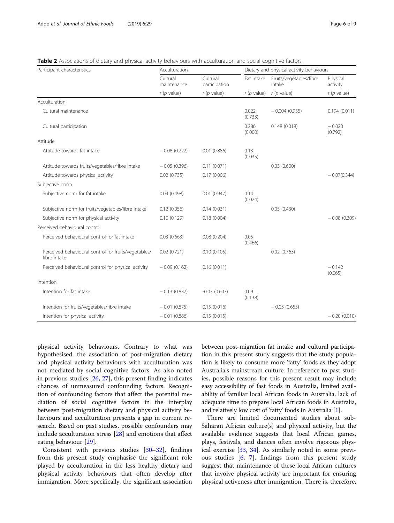<span id="page-5-0"></span>

| Table 2 Associations of dietary and physical activity behaviours with acculturation and social cognitive factors |  |
|------------------------------------------------------------------------------------------------------------------|--|
|------------------------------------------------------------------------------------------------------------------|--|

| Participant characteristics                                          | Acculturation           |                           | Dietary and physical activity behaviours |                                   |                      |  |
|----------------------------------------------------------------------|-------------------------|---------------------------|------------------------------------------|-----------------------------------|----------------------|--|
|                                                                      | Cultural<br>maintenance | Cultural<br>participation | Fat intake                               | Fruits/vegetables/fibre<br>intake | Physical<br>activity |  |
|                                                                      | $r(p$ value)            | $r(p$ value)              | $r(p$ value)                             | $r(p$ value)                      | $r(p$ value)         |  |
| Acculturation                                                        |                         |                           |                                          |                                   |                      |  |
| Cultural maintenance                                                 |                         |                           | 0.022<br>(0.733)                         | $-0.004(0.955)$                   | 0.194(0.011)         |  |
| Cultural participation                                               |                         |                           | 0.286<br>(0.000)                         | 0.148(0.018)                      | $-0.020$<br>(0.792)  |  |
| Attitude                                                             |                         |                           |                                          |                                   |                      |  |
| Attitude towards fat intake                                          | $-0.08(0.222)$          | 0.01(0.886)               | 0.13<br>(0.035)                          |                                   |                      |  |
| Attitude towards fruits/vegetables/fibre intake                      | $-0.05(0.396)$          | 0.11(0.071)               |                                          | 0.03(0.600)                       |                      |  |
| Attitude towards physical activity                                   | 0.02(0.735)             | 0.17(0.006)               |                                          |                                   | $-0.07(0.344)$       |  |
| Subjective norm                                                      |                         |                           |                                          |                                   |                      |  |
| Subjective norm for fat intake                                       | 0.04(0.498)             | 0.01(0.947)               | 0.14<br>(0.024)                          |                                   |                      |  |
| Subjective norm for fruits/vegetables/fibre intake                   | 0.12(0.056)             | 0.14(0.031)               |                                          | 0.05(0.430)                       |                      |  |
| Subjective norm for physical activity                                | 0.10(0.129)             | 0.18(0.004)               |                                          |                                   | $-0.08(0.309)$       |  |
| Perceived behavioural control                                        |                         |                           |                                          |                                   |                      |  |
| Perceived behavioural control for fat intake                         | 0.03(0.663)             | 0.08(0.204)               | 0.05<br>(0.466)                          |                                   |                      |  |
| Perceived behavioural control for fruits/vegetables/<br>fibre intake | 0.02(0.721)             | 0.10(0.105)               |                                          | 0.02(0.763)                       |                      |  |
| Perceived behavioural control for physical activity                  | $-0.09(0.162)$          | 0.16(0.011)               |                                          |                                   | $-0.142$<br>(0.065)  |  |
| Intention                                                            |                         |                           |                                          |                                   |                      |  |
| Intention for fat intake                                             | $-0.13(0.837)$          | $-0.03(0.607)$            | 0.09<br>(0.138)                          |                                   |                      |  |
| Intention for fruits/vegetables/fibre intake                         | $-0.01(0.875)$          | 0.15(0.016)               |                                          | $-0.03(0.655)$                    |                      |  |
| Intention for physical activity                                      | $-0.01(0.886)$          | 0.15(0.015)               |                                          |                                   | $-0.20(0.010)$       |  |

physical activity behaviours. Contrary to what was hypothesised, the association of post-migration dietary and physical activity behaviours with acculturation was not mediated by social cognitive factors. As also noted in previous studies [\[26](#page-8-0), [27](#page-8-0)], this present finding indicates chances of unmeasured confounding factors. Recognition of confounding factors that affect the potential mediation of social cognitive factors in the interplay between post-migration dietary and physical activity behaviours and acculturation presents a gap in current research. Based on past studies, possible confounders may include acculturation stress [[28\]](#page-8-0) and emotions that affect eating behaviour [[29\]](#page-8-0).

Consistent with previous studies [\[30](#page-8-0)–[32\]](#page-8-0), findings from this present study emphasise the significant role played by acculturation in the less healthy dietary and physical activity behaviours that often develop after immigration. More specifically, the significant association between post-migration fat intake and cultural participation in this present study suggests that the study population is likely to consume more 'fatty' foods as they adopt Australia's mainstream culture. In reference to past studies, possible reasons for this present result may include easy accessibility of fast foods in Australia, limited availability of familiar local African foods in Australia, lack of adequate time to prepare local African foods in Australia, and relatively low cost of 'fatty' foods in Australia [[1\]](#page-7-0).

There are limited documented studies about sub-Saharan African culture(s) and physical activity, but the available evidence suggests that local African games, plays, festivals, and dances often involve rigorous physical exercise [\[33,](#page-8-0) [34\]](#page-8-0). As similarly noted in some previous studies [\[6](#page-7-0), [7\]](#page-7-0), findings from this present study suggest that maintenance of these local African cultures that involve physical activity are important for ensuring physical activeness after immigration. There is, therefore,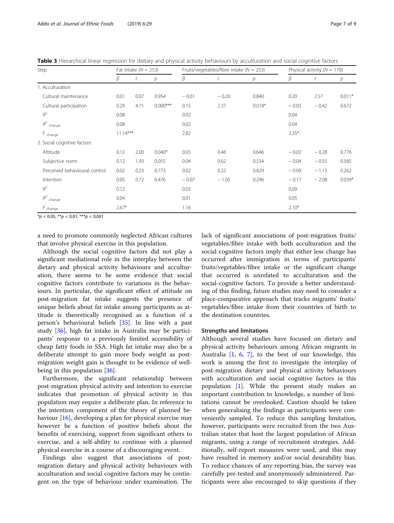<span id="page-6-0"></span>Table 3 Hierarchical linear regression for dietary and physical activity behaviours by acculturation and social cognitive factors

| Step                          | Fat intake $(N = 253)$ |      |            | Fruits/vegetables/fibre intake ( $N = 253$ ) |         |          |         | Physical activity ( $N = 170$ ) |          |  |
|-------------------------------|------------------------|------|------------|----------------------------------------------|---------|----------|---------|---------------------------------|----------|--|
|                               | β                      |      | p          | β                                            | t       | р        | β       | t                               | р        |  |
| 1. Acculturation              |                        |      |            |                                              |         |          |         |                                 |          |  |
| Cultural maintenance          | 0.01                   | 0.07 | 0.954      | $-0.01$                                      | $-0.20$ | 0.840    | 0.20    | 2.57                            | $0.011*$ |  |
| Cultural participation        | 0.29                   | 4.71 | $0.000***$ | 0.15                                         | 2.37    | $0.018*$ | $-0.03$ | $-0.42$                         | 0.672    |  |
| $R^2$                         | 0.08                   |      |            | 0.02                                         |         |          | 0.04    |                                 |          |  |
| $\mathit{R}^2$ change         | 0.08                   |      |            | 0.02                                         |         |          | 0.04    |                                 |          |  |
| $F_{change}$                  | $11.14***$             |      |            | 2.82                                         |         |          | $3.35*$ |                                 |          |  |
| 2. Social cognitive factors   |                        |      |            |                                              |         |          |         |                                 |          |  |
| Attitude                      | 0.12                   | 2.00 | $0.040*$   | 0.03                                         | 0.46    | 0.646    | $-0.02$ | $-0.28$                         | 0.776    |  |
| Subjective norm               | 0.12                   | 1.93 | 0.055      | 0.04                                         | 0.62    | 0.534    | $-0.04$ | $-0.55$                         | 0.585    |  |
| Perceived behavioural control | 0.02                   | 0.23 | 0.773      | 0.02                                         | 0.22    | 0.829    | $-0.09$ | $-1.13$                         | 0.262    |  |
| Intention                     | 0.05                   | 0.72 | 0.476      | $-0.07$                                      | $-1.05$ | 0.296    | $-0.17$ | $-2.08$                         | $0.039*$ |  |
| $R^2$                         | 0.12                   |      |            | 0.03                                         |         |          | 0.09    |                                 |          |  |
| $R^2$ change                  | 0.04                   |      |            | 0.01                                         |         |          | 0.05    |                                 |          |  |
| $F_{change}$                  | $2.67*$                |      |            | 1.16                                         |         |          | $2.10*$ |                                 |          |  |

 $*p < 0.05$ ,  $**p < 0.01$ ,  $***p < 0.001$ 

a need to promote commonly neglected African cultures that involve physical exercise in this population.

Although the social cognitive factors did not play a significant mediational role in the interplay between the dietary and physical activity behaviours and acculturation, there seems to be some evidence that social cognitive factors contribute to variations in the behaviours. In particular, the significant effect of attitude on post-migration fat intake suggests the presence of unique beliefs about fat intake among participants as attitude is theoretically recognised as a function of a person's behavioural beliefs [[35\]](#page-8-0). In line with a past study [\[36\]](#page-8-0), high fat intake in Australia may be participants' response to a previously limited accessibility of cheap fatty foods in SSA. High fat intake may also be a deliberate attempt to gain more body weight as postmigration weight gain is thought to be evidence of wellbeing in this population [[36\]](#page-8-0).

Furthermore, the significant relationship between post-migration physical activity and intention to exercise indicates that promotion of physical activity in this population may require a deliberate plan. In reference to the intention component of the theory of planned behaviour [[16\]](#page-8-0), developing a plan for physical exercise may however be a function of positive beliefs about the benefits of exercising, support from significant others to exercise, and a self-ability to continue with a planned physical exercise in a course of a discouraging event.

Findings also suggest that associations of postmigration dietary and physical activity behaviours with acculturation and social cognitive factors may be contingent on the type of behaviour under examination. The lack of significant associations of post-migration fruits/ vegetables/fibre intake with both acculturation and the social cognitive factors imply that either less change has occurred after immigration in terms of participants' fruits/vegetables/fibre intake or the significant change that occurred is unrelated to acculturation and the social-cognitive factors. To provide a better understanding of this finding, future studies may need to consider a place-comparative approach that tracks migrants' fruits/ vegetables/fibre intake from their countries of birth to the destination countries.

#### Strengths and limitations

Although several studies have focused on dietary and physical activity behaviours among African migrants in Australia [[1,](#page-7-0) [6,](#page-7-0) [7](#page-7-0)], to the best of our knowledge, this work is among the first to investigate the interplay of post-migration dietary and physical activity behaviours with acculturation and social cognitive factors in this population [\[1](#page-7-0)]. While the present study makes an important contribution to knowledge, a number of limitations cannot be overlooked. Caution should be taken when generalising the findings as participants were conveniently sampled. To reduce this sampling limitation, however, participants were recruited from the two Australian states that host the largest population of African migrants, using a range of recruitment strategies. Additionally, self-report measures were used, and this may have resulted in memory and/or social desirability bias. To reduce chances of any reporting bias, the survey was carefully pre-tested and anonymously administered. Participants were also encouraged to skip questions if they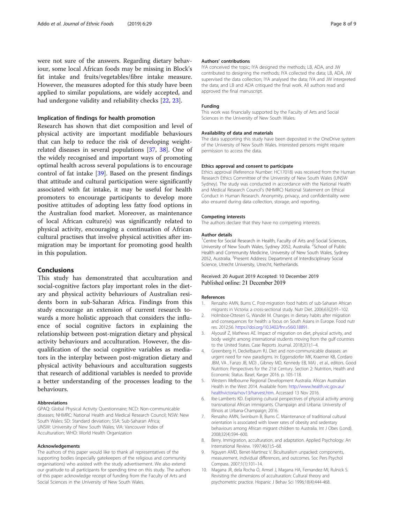<span id="page-7-0"></span>were not sure of the answers. Regarding dietary behaviour, some local African foods may be missing in Block's fat intake and fruits/vegetables/fibre intake measure. However, the measures adopted for this study have been applied to similar populations, are widely accepted, and had undergone validity and reliability checks [[22](#page-8-0), [23](#page-8-0)].

## Implication of findings for health promotion

Research has shown that diet composition and level of physical activity are important modifiable behaviours that can help to reduce the risk of developing weightrelated diseases in several populations [\[37,](#page-8-0) [38](#page-8-0)]. One of the widely recognised and important ways of promoting optimal health across several populations is to encourage control of fat intake [\[39](#page-8-0)]. Based on the present findings that attitude and cultural participation were significantly associated with fat intake, it may be useful for health promoters to encourage participants to develop more positive attitudes of adopting less fatty food options in the Australian food market. Moreover, as maintenance of local African culture(s) was significantly related to physical activity, encouraging a continuation of African cultural practises that involve physical activities after immigration may be important for promoting good health in this population.

## Conclusions

This study has demonstrated that acculturation and social-cognitive factors play important roles in the dietary and physical activity behaviours of Australian residents born in sub-Saharan Africa. Findings from this study encourage an extension of current research towards a more holistic approach that considers the influence of social cognitive factors in explaining the relationship between post-migration dietary and physical activity behaviours and acculturation. However, the disqualification of the social cognitive variables as mediators in the interplay between post-migration dietary and physical activity behaviours and acculturation suggests that research of additional variables is needed to provide a better understanding of the processes leading to the behaviours.

## Abbreviations

GPAQ: Global Physical Activity Questionnaire; NCD: Non-communicable diseases; NHMRC: National Health and Medical Research Council; NSW: New South Wales; SD: Standard deviation; SSA: Sub-Saharan Africa; UNSW: University of New South Wales; VIA: Vancouver Index of Acculturation; WHO: World Health Organization

#### Acknowledgements

The authors of this paper would like to thank all representatives of the supporting bodies (especially gatekeepers of the religious and community organisations) who assisted with the study advertisement. We also extend our gratitude to all participants for spending time on this study. The authors of this paper acknowledge receipt of funding from the Faculty of Arts and Social Sciences in the University of New South Wales.

#### Authors' contributions

IYA conceived the topic; IYA designed the methods; LB, ADA, and JW contributed to designing the methods; IYA collected the data; LB, ADA, JW supervised the data collection; IYA analysed the data; IYA and JW interpreted the data; and LB and ADA critiqued the final work. All authors read and approved the final manuscript.

#### Funding

This work was financially supported by the Faculty of Arts and Social Sciences in the University of New South Wales.

#### Availability of data and materials

The data supporting this study have been deposited in the OneDrive system of the University of New South Wales. Interested persons might require permission to access the data.

#### Ethics approval and consent to participate

Ethics approval (Reference Number: HC17018) was received from the Human Research Ethics Committee of the University of New South Wales (UNSW Sydney). The study was conducted in accordance with the National Health and Medical Research Council's (NHMRC) National Statement on Ethical Conduct in Human Research. Anonymity, privacy, and confidentiality were also ensured during data collection, storage, and reporting.

#### Competing interests

The authors declare that they have no competing interests.

#### Author details

<sup>1</sup> Centre for Social Research in Health, Faculty of Arts and Social Sciences, University of New South Wales, Sydney 2052, Australia. <sup>2</sup>School of Public Health and Community Medicine, University of New South Wales, Sydney 2052, Australia. <sup>3</sup>Present Address: Department of Interdisciplinary Social Science, Utrecht University, Utrecht, Netherlands.

#### Received: 20 August 2019 Accepted: 10 December 2019 Published online: 21 December 2019

#### References

- 1. Renzaho AMN, Burns C. Post-migration food habits of sub-Saharan African migrants in Victoria: a cross-sectional study. Nutr Diet. 2006;63(2):91–102.
- 2. Holmboe-Ottesen G, Wandel M. Changes in dietary habits after migration and consequences for health: a focus on South Asians in Europe. Food nutr res. 2012;56. <https://doi.org/10.3402/fnr.v56i0.18891>.
- 3. Alyousif Z, Mathews AE. Impact of migration on diet, physical activity, and body weight among international students moving from the gulf countries to the United States. Case Reports Journal. 2018;2(1):1–4.
- 4. Greenberg H, Deckelbaum RJ. Diet and non-communicable diseases: an urgent need for new paradigms. In: Eggersdorfer MK, Kraemer KB, Cordaro JBM, VA , Fanzo JB, MD) , Gibney MD, Kennedy EB, MA) , et al., editors. Good Nutrition: Perspectives for the 21st Century. Section 2: Nutrition, Health and Economic Status. Basel, Karger 2016. p. 105-118.
- 5. Western Melbourne Regional Development Australia. African Australian Health in the West 2014. Available from: [http://www.health.vic.gov.au/](http://www.health.vic.gov.au/healthvictoria/nov13/harvest.htm) [healthvictoria/nov13/harvest.htm.](http://www.health.vic.gov.au/healthvictoria/nov13/harvest.htm) Accessed 13 Nov 2016.
- 6. Ibe-Lamberts KD. Exploring cultural perspectives of physical activity among transnational African immigrants. Champaign and Urbana: University of Illinois at Urbana-Champaign; 2016.
- 7. Renzaho AMN, Swinburn B, Burns C. Maintenance of traditional cultural orientation is associated with lower rates of obesity and sedentary behaviours among African migrant children to Australia. Int J Obes (Lond). 2008;32(4):594–600.
- 8. Berry. Immigration, acculturation, and adaptation. Applied Psychology: An International Review. 1997;46(1):5–68.
- 9. Nguyen AMD, Benet-Martinez V. Biculturalism unpacked: components, measurement, individual differences, and outcomes. Soc Pers Psychol Compass. 2007;1(1):101–14.
- 10. Magana JR, dela Rocha O, Amsel J, Magana HA, Fernandez MI, Rulnick S. Revisiting the dimensions of acculturation: Cultural theory and psychometric practice. Hispanic J Behav Sci 1996;18(4):444-468.